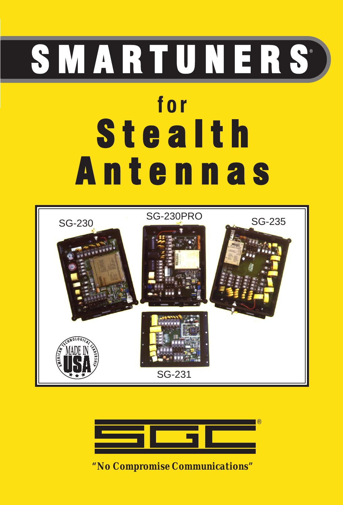# **for Stealth** A n t e n n a s S M A R T U N E R S





*"No Compromise Communications"*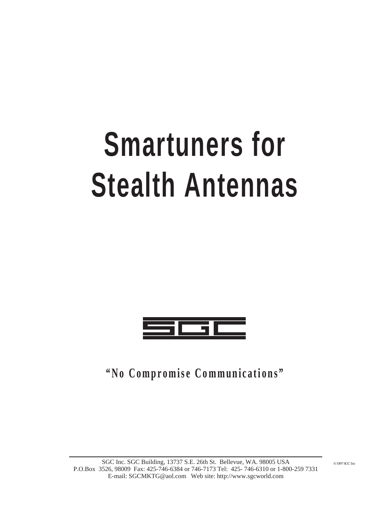# **Smartuners for Stealth Antennas**



**"No Compromise Communications"**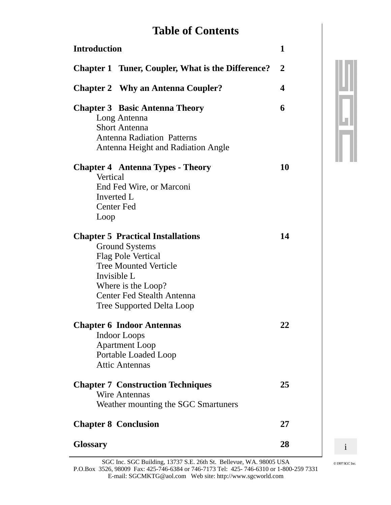## **Table of Contents**

| <b>Introduction</b>                                                                                                                                                                                                                          |                |
|----------------------------------------------------------------------------------------------------------------------------------------------------------------------------------------------------------------------------------------------|----------------|
| <b>Chapter 1 Tuner, Coupler, What is the Difference?</b>                                                                                                                                                                                     | $\overline{2}$ |
| <b>Chapter 2</b> Why an Antenna Coupler?                                                                                                                                                                                                     | 4              |
| <b>Chapter 3 Basic Antenna Theory</b><br>Long Antenna<br><b>Short Antenna</b><br><b>Antenna Radiation Patterns</b><br><b>Antenna Height and Radiation Angle</b>                                                                              | 6              |
| <b>Chapter 4 Antenna Types - Theory</b><br>Vertical<br>End Fed Wire, or Marconi<br>Inverted L<br><b>Center Fed</b><br>Loop                                                                                                                   | 10             |
| <b>Chapter 5 Practical Installations</b><br><b>Ground Systems</b><br><b>Flag Pole Vertical</b><br><b>Tree Mounted Verticle</b><br>Invisible L<br>Where is the Loop?<br><b>Center Fed Stealth Antenna</b><br><b>Tree Supported Delta Loop</b> | 14             |
| <b>Chapter 6 Indoor Antennas</b><br>Indoor Loops<br><b>Apartment Loop</b><br>Portable Loaded Loop<br><b>Attic Antennas</b>                                                                                                                   | 22             |
| <b>Chapter 7 Construction Techniques</b><br><b>Wire Antennas</b><br>Weather mounting the SGC Smartuners                                                                                                                                      | 25             |
| <b>Chapter 8 Conclusion</b>                                                                                                                                                                                                                  | 27             |
| <b>Glossary</b>                                                                                                                                                                                                                              | 28             |

 $\mathbf{i}$ 

 $\odot$  1997 SGC Inc.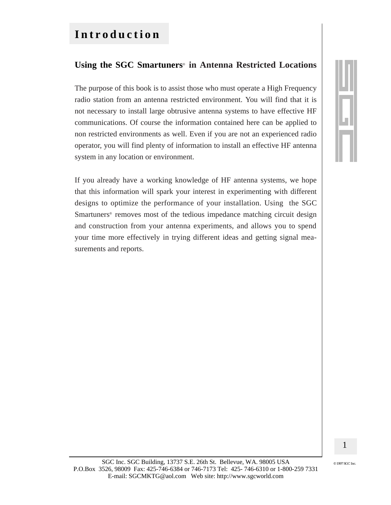## Introduction

#### Using the SGC Smartuners<sup>®</sup> in Antenna Restricted Locations

The purpose of this book is to assist those who must operate a High Frequency radio station from an antenna restricted environment. You will find that it is not necessary to install large obtrusive antenna systems to have effective HF communications. Of course the information contained here can be applied to non restricted environments as well. Even if you are not an experienced radio operator, you will find plenty of information to install an effective HF antenna system in any location or environment.

If you already have a working knowledge of HF antenna systems, we hope that this information will spark your interest in experimenting with different designs to optimize the performance of your installation. Using the SGC Smartuners<sup>®</sup> removes most of the tedious impedance matching circuit design and construction from your antenna experiments, and allows you to spend your time more effectively in trying different ideas and getting signal measurements and reports.

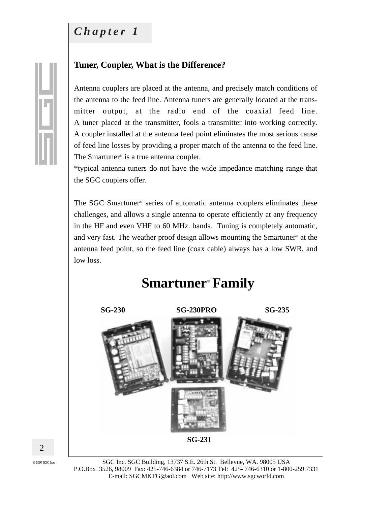## Chapter 1

#### Tuner, Coupler, What is the Difference?

Antenna couplers are placed at the antenna, and precisely match conditions of the antenna to the feed line. Antenna tuners are generally located at the transmitter output, at the radio end of the coaxial feed line. A tuner placed at the transmitter, fools a transmitter into working correctly. A coupler installed at the antenna feed point eliminates the most serious cause of feed line losses by providing a proper match of the antenna to the feed line. The Smartuner<sup>®</sup> is a true antenna coupler.

\*typical antenna tuners do not have the wide impedance matching range that the SGC couplers offer.

The SGC Smartuner® series of automatic antenna couplers eliminates these challenges, and allows a single antenna to operate efficiently at any frequency in the HF and even VHF to 60 MHz. bands. Tuning is completely automatic, and very fast. The weather proof design allows mounting the Smartuner<sup>®</sup> at the antenna feed point, so the feed line (coax cable) always has a low SWR, and low loss.

## **Smartuner® Family**



© 1997 SGC Inc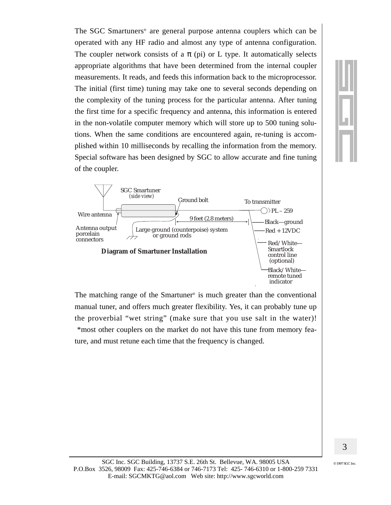The SGC Smartuners<sup>®</sup> are general purpose antenna couplers which can be operated with any HF radio and almost any type of antenna configuration. The coupler network consists of a  $\pi$  (pi) or L type. It automatically selects appropriate algorithms that have been determined from the internal coupler measurements. It reads, and feeds this information back to the microprocessor. The initial (first time) tuning may take one to several seconds depending on the complexity of the tuning process for the particular antenna. After tuning the first time for a specific frequency and antenna, this information is entered in the non-volatile computer memory which will store up to 500 tuning solutions. When the same conditions are encountered again, re-tuning is accomplished within 10 milliseconds by recalling the information from the memory. Special software has been designed by SGC to allow accurate and fine tuning of the coupler.



The matching range of the Smartuner<sup>®</sup> is much greater than the conventional manual tuner, and offers much greater flexibility. Yes, it can probably tune up the proverbial "wet string" (make sure that you use salt in the water)! \*most other couplers on the market do not have this tune from memory feature, and must retune each time that the frequency is changed.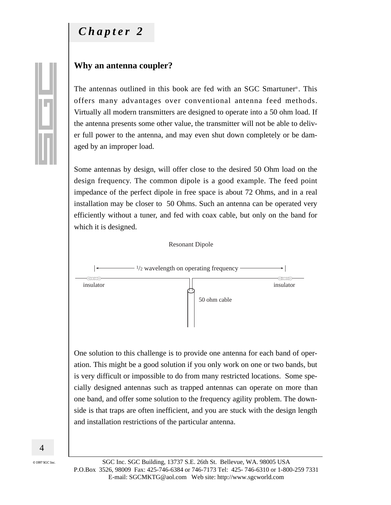## Chapter 2

#### Why an antenna coupler?

The antennas outlined in this book are fed with an SGC Smartuner<sup>®</sup>. This offers many advantages over conventional antenna feed methods. Virtually all modern transmitters are designed to operate into a 50 ohm load. If the antenna presents some other value, the transmitter will not be able to deliver full power to the antenna, and may even shut down completely or be damaged by an improper load.

Some antennas by design, will offer close to the desired 50 Ohm load on the design frequency. The common dipole is a good example. The feed point impedance of the perfect dipole in free space is about 72 Ohms, and in a real installation may be closer to 50 Ohms. Such an antenna can be operated very efficiently without a tuner, and fed with coax cable, but only on the band for which it is designed.



One solution to this challenge is to provide one antenna for each band of operation. This might be a good solution if you only work on one or two bands, but is very difficult or impossible to do from many restricted locations. Some specially designed antennas such as trapped antennas can operate on more than one band, and offer some solution to the frequency agility problem. The downside is that traps are often inefficient, and you are stuck with the design length and installation restrictions of the particular antenna.

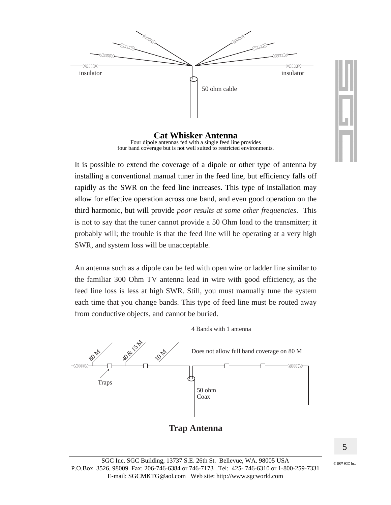

**Cat Whisker Antenna** Four dipole antennas fed with a single feed line provides four band coverage but is not well suited to restricted environments.

It is possible to extend the coverage of a dipole or other type of antenna by installing a conventional manual tuner in the feed line, but efficiency falls off rapidly as the SWR on the feed line increases. This type of installation may allow for effective operation across one band, and even good operation on the third harmonic, but will provide *poor results at some other frequencies*. This is not to say that the tuner cannot provide a 50 Ohm load to the transmitter; it probably will; the trouble is that the feed line will be operating at a very high SWR, and system loss will be unacceptable.

An antenna such as a dipole can be fed with open wire or ladder line similar to the familiar 300 Ohm TV antenna lead in wire with good efficiency, as the feed line loss is less at high SWR. Still, you must manually tune the system each time that you change bands. This type of feed line must be routed away from conductive objects, and cannot be buried.





5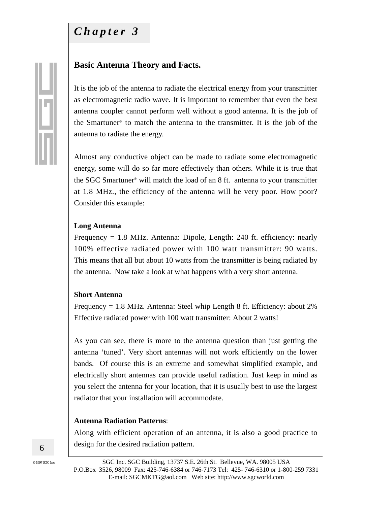## *Chapter 3*

#### **Basic Antenna Theory and Facts.**

It is the job of the antenna to radiate the electrical energy from your transmitter as electromagnetic radio wave. It is important to remember that even the best antenna coupler cannot perform well without a good antenna. It is the job of the Smartuner® to match the antenna to the transmitter. It is the job of the antenna to radiate the energy.

Almost any conductive object can be made to radiate some electromagnetic energy, some will do so far more effectively than others. While it is true that the SGC Smartuner® will match the load of an 8 ft. antenna to your transmitter at 1.8 MHz., the efficiency of the antenna will be very poor. How poor? Consider this example:

#### **Long Antenna**

Frequency = 1.8 MHz. Antenna: Dipole, Length: 240 ft. efficiency: nearly 100% effective radiated power with 100 watt transmitter: 90 watts. This means that all but about 10 watts from the transmitter is being radiated by the antenna. Now take a look at what happens with a very short antenna.

#### **Short Antenna**

Frequency = 1.8 MHz. Antenna: Steel whip Length 8 ft. Efficiency: about 2% Effective radiated power with 100 watt transmitter: About 2 watts!

As you can see, there is more to the antenna question than just getting the antenna 'tuned'. Very short antennas will not work efficiently on the lower bands. Of course this is an extreme and somewhat simplified example, and electrically short antennas can provide useful radiation. Just keep in mind as you select the antenna for your location, that it is usually best to use the largest radiator that your installation will accommodate.

#### **Antenna Radiation Patterns**:

Along with efficient operation of an antenna, it is also a good practice to design for the desired radiation pattern.

6

 $@$  1997 SGC Inc.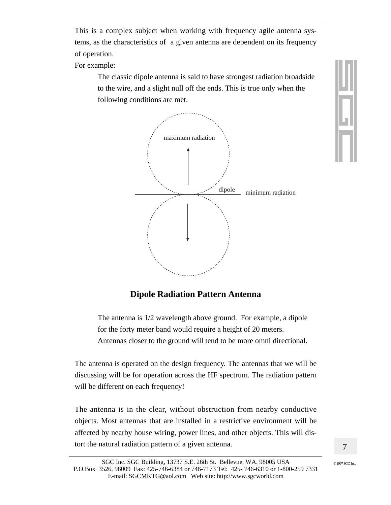This is a complex subject when working with frequency agile antenna systems, as the characteristics of a given antenna are dependent on its frequency of operation.

For example:

The classic dipole antenna is said to have strongest radiation broadside to the wire, and a slight null off the ends. This is true only when the following conditions are met.



#### **Dipole Radiation Pattern Antenna**

The antenna is 1/2 wavelength above ground. For example, a dipole for the forty meter band would require a height of 20 meters. Antennas closer to the ground will tend to be more omni directional.

The antenna is operated on the design frequency. The antennas that we will be discussing will be for operation across the HF spectrum. The radiation pattern will be different on each frequency!

The antenna is in the clear, without obstruction from nearby conductive objects. Most antennas that are installed in a restrictive environment will be affected by nearby house wiring, power lines, and other objects. This will distort the natural radiation pattern of a given antenna.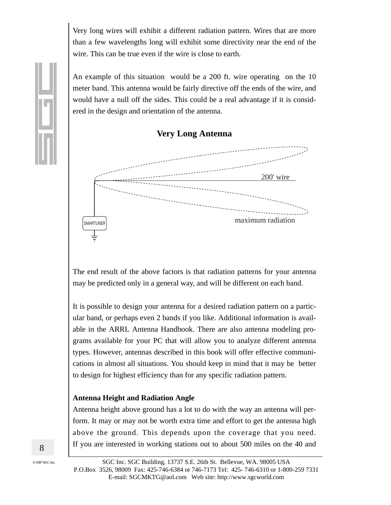Very long wires will exhibit a different radiation pattern. Wires that are more than a few wavelengths long will exhibit some directivity near the end of the wire. This can be true even if the wire is close to earth.

An example of this situation would be a 200 ft. wire operating on the 10 meter band. This antenna would be fairly directive off the ends of the wire, and would have a null off the sides. This could be a real advantage if it is considered in the design and orientation of the antenna.



The end result of the above factors is that radiation patterns for your antenna may be predicted only in a general way, and will be different on each band.

It is possible to design your antenna for a desired radiation pattern on a particular band, or perhaps even 2 bands if you like. Additional information is available in the ARRL Antenna Handbook. There are also antenna modeling programs available for your PC that will allow you to analyze different antenna types. However, antennas described in this book will offer effective communications in almost all situations. You should keep in mind that it may be better to design for highest efficiency than for any specific radiation pattern.

#### **Antenna Height and Radiation Angle**

Antenna height above ground has a lot to do with the way an antenna will perform. It may or may not be worth extra time and effort to get the antenna high above the ground. This depends upon the coverage that you need. If you are interested in working stations out to about 500 miles on the 40 and

8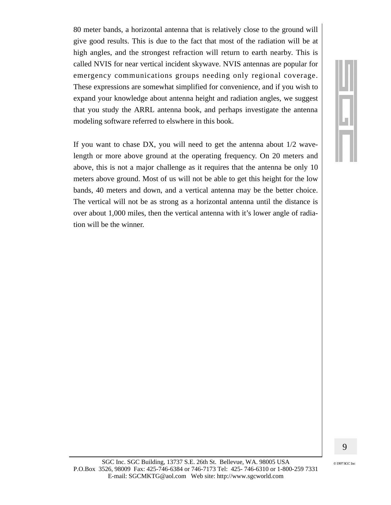80 meter bands, a horizontal antenna that is relatively close to the ground will give good results. This is due to the fact that most of the radiation will be at high angles, and the strongest refraction will return to earth nearby. This is called NVIS for near vertical incident skywave. NVIS antennas are popular for emergency communications groups needing only regional coverage. These expressions are somewhat simplified for convenience, and if you wish to expand your knowledge about antenna height and radiation angles, we suggest that you study the ARRL antenna book, and perhaps investigate the antenna modeling software referred to elswhere in this book.

If you want to chase DX, you will need to get the antenna about  $1/2$  wavelength or more above ground at the operating frequency. On 20 meters and above, this is not a major challenge as it requires that the antenna be only 10 meters above ground. Most of us will not be able to get this height for the low bands, 40 meters and down, and a vertical antenna may be the better choice. The vertical will not be as strong as a horizontal antenna until the distance is over about 1,000 miles, then the vertical antenna with it's lower angle of radiation will be the winner.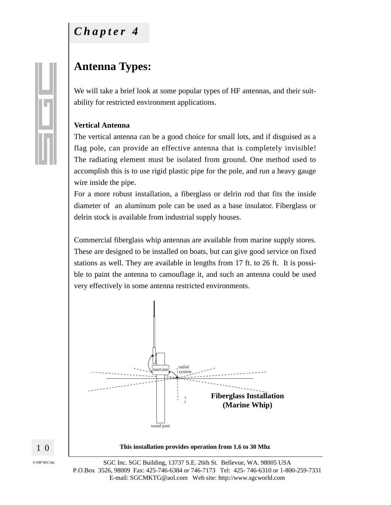## Chapter 4

## **Antenna Types:**

We will take a brief look at some popular types of HF antennas, and their suitability for restricted environment applications.

#### **Vertical Antenna**

The vertical antenna can be a good choice for small lots, and if disguised as a flag pole, can provide an effective antenna that is completely invisible! The radiating element must be isolated from ground. One method used to accomplish this is to use rigid plastic pipe for the pole, and run a heavy gauge wire inside the pipe.

For a more robust installation, a fiberglass or delrin rod that fits the inside diameter of an aluminum pole can be used as a base insulator. Fiberglass or delrin stock is available from industrial supply houses.

Commercial fiberglass whip antennas are available from marine supply stores. These are designed to be installed on boats, but can give good service on fixed stations as well. They are available in lengths from 17 ft. to 26 ft. It is possible to paint the antenna to camouflage it, and such an antenna could be used very effectively in some antenna restricted environments.



SGC Inc. SGC Building, 13737 S.E. 26th St. Bellevue, WA. 98005 USA P.O.Box 3526, 98009 Fax: 425-746-6384 or 746-7173 Tel: 425-746-6310 or 1-800-259-7331 E-mail: SGCMKTG@aol.com Web site: http://www.sgcworld.com



10

 $\odot$  1997 SGC Inc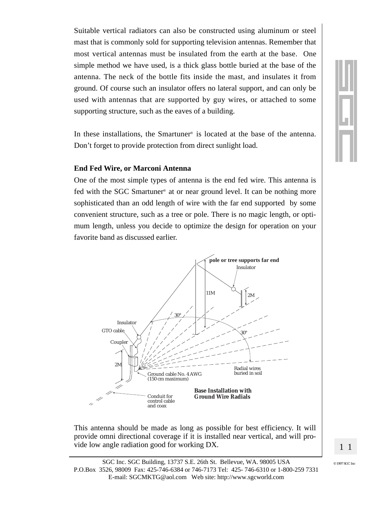Suitable vertical radiators can also be constructed using aluminum or steel mast that is commonly sold for supporting television antennas. Remember that most vertical antennas must be insulated from the earth at the base. One simple method we have used, is a thick glass bottle buried at the base of the antenna. The neck of the bottle fits inside the mast, and insulates it from ground. Of course such an insulator offers no lateral support, and can only be used with antennas that are supported by guy wires, or attached to some supporting structure, such as the eaves of a building.

In these installations, the Smartuner<sup>®</sup> is located at the base of the antenna. Don't forget to provide protection from direct sunlight load.

#### **End Fed Wire, or Marconi Antenna**

One of the most simple types of antenna is the end fed wire. This antenna is fed with the SGC Smartuner<sup>®</sup> at or near ground level. It can be nothing more sophisticated than an odd length of wire with the far end supported by some convenient structure, such as a tree or pole. There is no magic length, or optimum length, unless you decide to optimize the design for operation on your favorite band as discussed earlier.



This antenna should be made as long as possible for best efficiency. It will provide omni directional coverage if it is installed near vertical, and will provide low angle radiation good for working DX.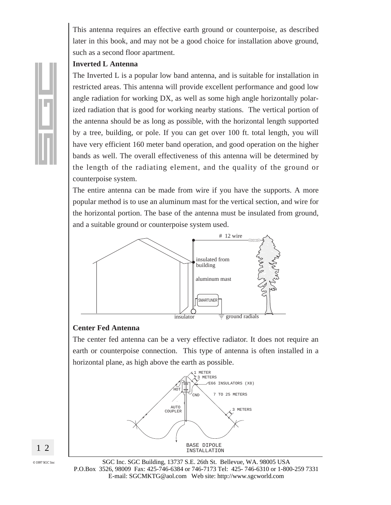This antenna requires an effective earth ground or counterpoise, as described later in this book, and may not be a good choice for installation above ground, such as a second floor apartment.

#### **Inverted L Antenna**

The Inverted L is a popular low band antenna, and is suitable for installation in restricted areas. This antenna will provide excellent performance and good low angle radiation for working DX, as well as some high angle horizontally polarized radiation that is good for working nearby stations. The vertical portion of the antenna should be as long as possible, with the horizontal length supported by a tree, building, or pole. If you can get over 100 ft. total length, you will have very efficient 160 meter band operation, and good operation on the higher bands as well. The overall effectiveness of this antenna will be determined by the length of the radiating element, and the quality of the ground or counterpoise system.

The entire antenna can be made from wire if you have the supports. A more popular method is to use an aluminum mast for the vertical section, and wire for the horizontal portion. The base of the antenna must be insulated from ground, and a suitable ground or counterpoise system used.



#### **Center Fed Antenna**

The center fed antenna can be a very effective radiator. It does not require an earth or counterpoise connection. This type of antenna is often installed in a horizontal plane, as high above the earth as possible.



2  $\mathbf{1}$ 

> SGC Inc. SGC Building, 13737 S.E. 26th St. Bellevue, WA. 98005 USA P.O.Box 3526, 98009 Fax: 425-746-6384 or 746-7173 Tel: 425-746-6310 or 1-800-259 7331 E-mail: SGCMKTG@aol.com Web site: http://www.sgcworld.com

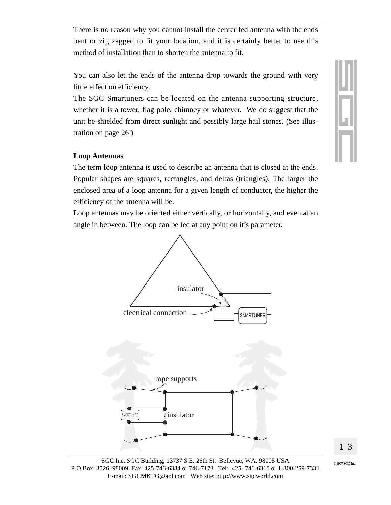There is no reason why you cannot install the center fed antenna with the ends bent or zig zagged to fit your location, and it is certainly better to use this method of installation than to shorten the antenna to fit.

You can also let the ends of the antenna drop towards the ground with very little effect on efficiency.

The SGC Smartuners can be located on the antenna supporting structure, whether it is a tower, flag pole, chimney or whatever. We do suggest that the unit be shielded from direct sunlight and possibly large hail stones. (See illustration on page  $26$ )

#### **Loop Antennas**

The term loop antenna is used to describe an antenna that is closed at the ends. Popular shapes are squares, rectangles, and deltas (triangles). The larger the enclosed area of a loop antenna for a given length of conductor, the higher the efficiency of the antenna will be.

Loop antennas may be oriented either vertically, or horizontally, and even at an angle in between. The loop can be fed at any point on it's parameter.





13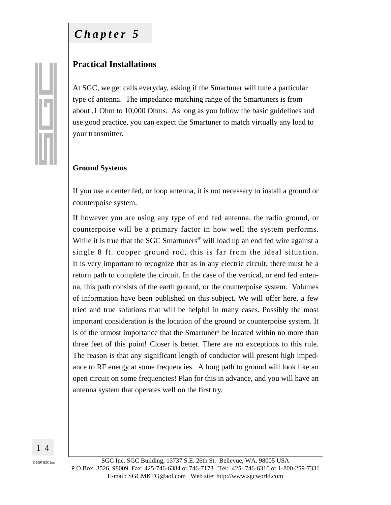## $Chapter 5$

#### **Practical Installations**

At SGC, we get calls everyday, asking if the Smartuner will tune a particular type of antenna. The impedance matching range of the Smartuners is from about .1 Ohm to 10,000 Ohms. As long as you follow the basic guidelines and use good practice, you can expect the Smartuner to match virtually any load to your transmitter.

#### **Ground Systems**

If you use a center fed, or loop antenna, it is not necessary to install a ground or counterpoise system.

If however you are using any type of end fed antenna, the radio ground, or counterpoise will be a primary factor in how well the system performs. While it is true that the SGC Smartuners<sup>®</sup> will load up an end fed wire against a single 8 ft. copper ground rod, this is far from the ideal situation. It is very important to recognize that as in any electric circuit, there must be a return path to complete the circuit. In the case of the vertical, or end fed antenna, this path consists of the earth ground, or the counterpoise system. Volumes of information have been published on this subject. We will offer here, a few tried and true solutions that will be helpful in many cases. Possibly the most important consideration is the location of the ground or counterpoise system. It is of the utmost importance that the Smartuner® be located within no more than three feet of this point! Closer is better. There are no exceptions to this rule. The reason is that any significant length of conductor will present high impedance to RF energy at some frequencies. A long path to ground will look like an open circuit on some frequencies! Plan for this in advance, and you will have an antenna system that operates well on the first try.



© 1997 SGC Inc

SGC Inc. SGC Building, 13737 S.E. 26th St. Bellevue, WA. 98005 USA P.O.Box 3526, 98009 Fax: 425-746-6384 or 746-7173 Tel: 425-746-6310 or 1-800-259-7331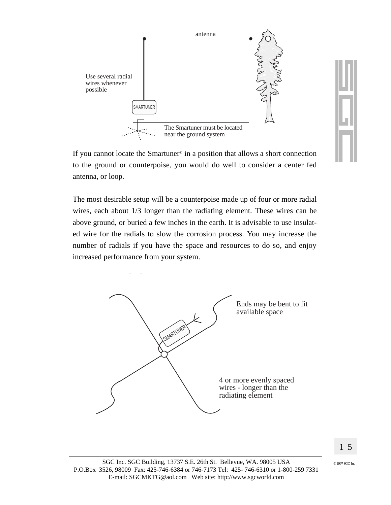

If you cannot locate the Smartuner<sup>®</sup> in a position that allows a short connection to the ground or counterpoise, you would do well to consider a center fed antenna, or loop.

The most desirable setup will be a counterpoise made up of four or more radial wires, each about  $1/3$  longer than the radiating element. These wires can be above ground, or buried a few inches in the earth. It is advisable to use insulated wire for the radials to slow the corrosion process. You may increase the number of radials if you have the space and resources to do so, and enjoy increased performance from your system.

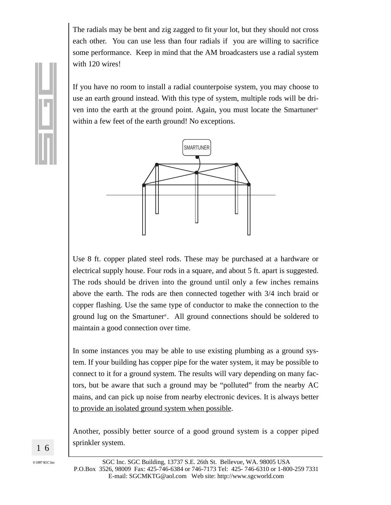The radials may be bent and zig zagged to fit your lot, but they should not cross each other. You can use less than four radials if you are willing to sacrifice some performance. Keep in mind that the AM broadcasters use a radial system with 120 wires!

If you have no room to install a radial counterpoise system, you may choose to use an earth ground instead. With this type of system, multiple rods will be driven into the earth at the ground point. Again, you must locate the Smartuner® within a few feet of the earth ground! No exceptions.



Use 8 ft. copper plated steel rods. These may be purchased at a hardware or electrical supply house. Four rods in a square, and about 5 ft. apart is suggested. The rods should be driven into the ground until only a few inches remains above the earth. The rods are then connected together with  $3/4$  inch braid or copper flashing. Use the same type of conductor to make the connection to the ground lug on the Smartuner<sup>®</sup>. All ground connections should be soldered to maintain a good connection over time.

In some instances you may be able to use existing plumbing as a ground system. If your building has copper pipe for the water system, it may be possible to connect to it for a ground system. The results will vary depending on many factors, but be aware that such a ground may be "polluted" from the nearby AC mains, and can pick up noise from nearby electronic devices. It is always better to provide an isolated ground system when possible.

Another, possibly better source of a good ground system is a copper piped sprinkler system.

16

 $\odot$  1997 SGC Inc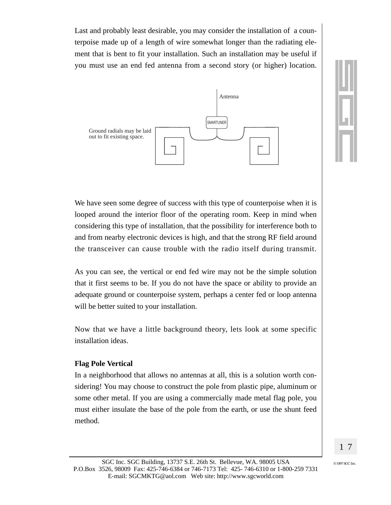Last and probably least desirable, you may consider the installation of a counterpoise made up of a length of wire somewhat longer than the radiating element that is bent to fit your installation. Such an installation may be useful if you must use an end fed antenna from a second story (or higher) location.





We have seen some degree of success with this type of counterpoise when it is looped around the interior floor of the operating room. Keep in mind when considering this type of installation, that the possibility for interference both to and from nearby electronic devices is high, and that the strong RF field around the transceiver can cause trouble with the radio itself during transmit.

As you can see, the vertical or end fed wire may not be the simple solution that it first seems to be. If you do not have the space or ability to provide an adequate ground or counterpoise system, perhaps a center fed or loop antenna will be better suited to your installation.

Now that we have a little background theory, lets look at some specific installation ideas.

#### **Flag Pole Vertical**

In a neighborhood that allows no antennas at all, this is a solution worth considering! You may choose to construct the pole from plastic pipe, aluminum or some other metal. If you are using a commercially made metal flag pole, you must either insulate the base of the pole from the earth, or use the shunt feed method.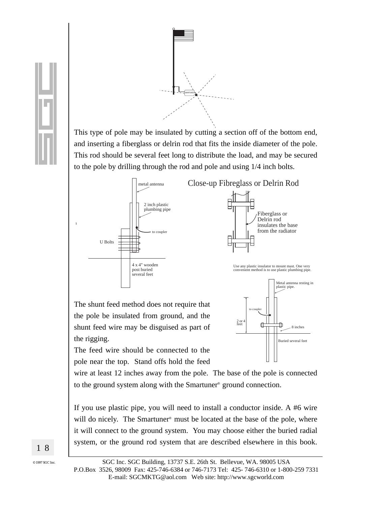

This type of pole may be insulated by cutting a section off of the bottom end, and inserting a fiberglass or delrin rod that fits the inside diameter of the pole. This rod should be several feet long to distribute the load, and may be secured to the pole by drilling through the rod and pole and using 1/4 inch bolts.



The shunt feed method does not require that the pole be insulated from ground, and the shunt feed wire may be disguised as part of the rigging.



Fiberglass or Delrin rod

insulates the base from the radiator

The feed wire should be connected to the pole near the top. Stand offs hold the feed

wire at least 12 inches away from the pole. The base of the pole is connected to the ground system along with the Smartuner<sup>®</sup> ground connection.

If you use plastic pipe, you will need to install a conductor inside. A  $#6$  wire will do nicely. The Smartuner<sup>®</sup> must be located at the base of the pole, where it will connect to the ground system. You may choose either the buried radial system, or the ground rod system that are described elsewhere in this book.

18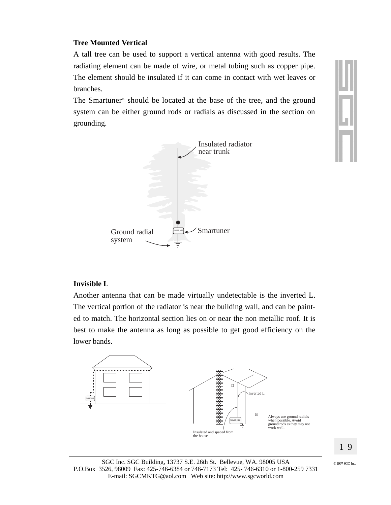#### **Tree Mounted Vertical**

A tall tree can be used to support a vertical antenna with good results. The radiating element can be made of wire, or metal tubing such as copper pipe. The element should be insulated if it can come in contact with wet leaves or branches.

The Smartuner<sup>®</sup> should be located at the base of the tree, and the ground system can be either ground rods or radials as discussed in the section on grounding.



#### **Invisible L**

Another antenna that can be made virtually undetectable is the inverted L. The vertical portion of the radiator is near the building wall, and can be painted to match. The horizontal section lies on or near the non metallic roof. It is best to make the antenna as long as possible to get good efficiency on the lower bands.

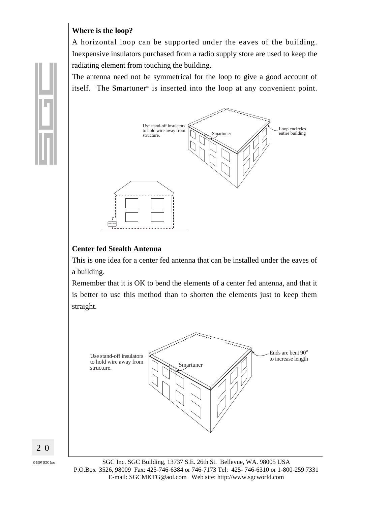#### Where is the loop?

A horizontal loop can be supported under the eaves of the building. In expensive insulators purchased from a radio supply store are used to keep the radiating element from touching the building.

The antenna need not be symmetrical for the loop to give a good account of itself. The Smartuner<sup>®</sup> is inserted into the loop at any convenient point.



#### **Center fed Stealth Antenna**

This is one idea for a center fed antenna that can be installed under the eaves of a building.

Remember that it is OK to bend the elements of a center fed antenna, and that it is better to use this method than to shorten the elements just to keep them straight.



20

 $\odot$  1997 SGC Inc

SGC Inc. SGC Building, 13737 S.E. 26th St. Bellevue, WA. 98005 USA P.O.Box 3526, 98009 Fax: 425-746-6384 or 746-7173 Tel: 425-746-6310 or 1-800-259 7331 

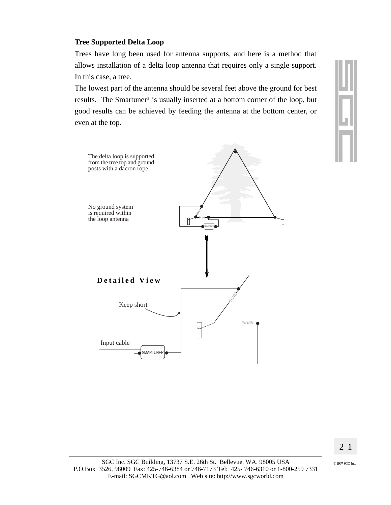#### **Tree Supported Delta Loop**

Trees have long been used for antenna supports, and here is a method that allows installation of a delta loop antenna that requires only a single support. In this case, a tree.

The lowest part of the antenna should be several feet above the ground for best results. The Smartuner® is usually inserted at a bottom corner of the loop, but good results can be achieved by feeding the antenna at the bottom center, or even at the top.





SGC Inc. SGC Building, 13737 S.E. 26th St. Bellevue, WA. 98005 USA P.O.Box 3526, 98009 Fax: 425-746-6384 or 746-7173 Tel: 425-746-6310 or 1-800-259 7331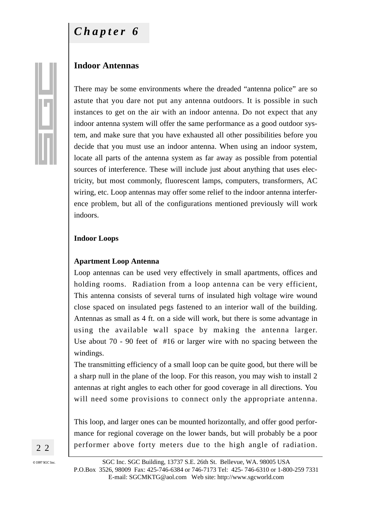#### **Indoor Antennas**

There may be some environments where the dreaded "antenna police" are so astute that you dare not put any antenna outdoors. It is possible in such instances to get on the air with an indoor antenna. Do not expect that any indoor antenna system will offer the same performance as a good outdoor system, and make sure that you have exhausted all other possibilities before you decide that you must use an indoor antenna. When using an indoor system, locate all parts of the antenna system as far away as possible from potential sources of interference. These will include just about anything that uses electricity, but most commonly, fluorescent lamps, computers, transformers, AC wiring, etc. Loop antennas may offer some relief to the indoor antenna interference problem, but all of the configurations mentioned previously will work indoors.

#### **Indoor Loops**

#### **Apartment Loop Antenna**

Loop antennas can be used very effectively in small apartments, offices and holding rooms. Radiation from a loop antenna can be very efficient, This antenna consists of several turns of insulated high voltage wire wound close spaced on insulated pegs fastened to an interior wall of the building. Antennas as small as 4 ft. on a side will work, but there is some advantage in using the available wall space by making the antenna larger. Use about 70 - 90 feet of #16 or larger wire with no spacing between the windings.

The transmitting efficiency of a small loop can be quite good, but there will be a sharp null in the plane of the loop. For this reason, you may wish to install 2 antennas at right angles to each other for good coverage in all directions. You will need some provisions to connect only the appropriate antenna.

This loop, and larger ones can be mounted horizontally, and offer good performance for regional coverage on the lower bands, but will probably be a poor performer above forty meters due to the high angle of radiation.

2 2

?@@@@@@@@@@@@@@@@@@@@@@@@@@@@@@@@@@@@@@@@@@@@@@@@@@@@@@@@@@@@@@@@@@@@@@@@@@@@@@@@@@@@@@@@@@@@@@@@@@@@@@@@@@@@@@@@@@@@@@@@@@@@@@@@@@@@@@@@@@@@@@@@@@@@@@@@@@@@@@@@?g ?@@@@@@@@@@@@@@@@@@@@@@@@@@@@@@@@@@@@@@@@@@@@@@@@@@@@@@@@@@@@@@@@@@@@@@@@@@@@@@@@@@@@@@@@@@@@@@@@@@@@@@@@@@@@@@@@@@@@@@@@@@@@@@@@@@@@@@@@@@@@@@@@@@@@@@@@@@@@@@@@?g ?@@@@@@@@@@@@@@@@@@@@@@@@@@@@@@@@@@@@@@@@@@@@@@@@@@@@@@@@@@@@@@@@@@@@@@@@@@@@@@@@@@@@@@@@@@@@@@@@@@@@@@@@@@@@@@@@@@@@@@@@@@@@@@@@@@@@@@@@@@@@@@@@@@@@@@@@@@@@@@@@?g ?@@@@@@@@@@@@@@@@@@@@@@@@@@@@@@@@@@@@@@@@@@@@@@@@@@@@@@@@@@@@@@@@@@@@@@@@@@@@@@@@@@@@@@@@@@@@@@@@@@@@@@@@@@@@@@@@@@@@@@@@@@@@@@@@@@@@@@@@@@@@@@@@@@@@@@@@@@@@@@@@?g ?@@@@@@@@@@@@@@@@@@@@@@@@@@@@@@@@@@@@@@@@@@@@@@@@@@@@@@@@@@@@@@@@@@@@@@@@@@@@@@@@@@@@@@@@@@@@@@@@@@@@@@@@@@@@@@@@@@@@@@@@@@@@@@@@@@@@@@@@@@@@@@@@@@@@@@@@@@@@@@@@?g ?@@@@@@@@@@@@@@@@@@@@@@@@@@@@@@@@@@@@@@@@@@@@@@@@@g@@@@@@@@@@@@@@@@@@@@@@@@@@@@@@@@@@@@@@@@@@@@@@@@g?@@@@@@@@@@@@@@@@@@@@@@@@@@@@@@@@@@@@@@@@@@@@@@@@@@?g ?@@@@@@@@@@@@@@@@@@@@@@@@@@@@@@@@@@@@@@@@@@@@@@@@@g@@@@@@@@@@@@@@@@@@@@@@@@@@@@@@@@@@@@@@@@@@@@@@@@g?@@@@@@@@@@@@@@@@@@@@@@@@@@@@@@@@@@@@@@@@@@@@@@@@@@?g ?@@@@@@@@@@@@@@@@@@@@@@@@@@@@@@@@@@@@@@@@@@@@@@@@@g@@@@@@@@@@@@@@@@@@@@@@@@@@@@@@@@@@@@@@@@@@@@@@@@g?@@@@@@@@@@@@@@@@@@@@@@@@@@@@@@@@@@@@@@@@@@@@@@@@@@?g ?@@@@@@@@@@@@@@@@@@@@@@@@@@@@@@@@@@@@@@@@@@@@@@@@@g@@@@@@@@@@@@@@@@@@@@@@@@@@@@@@@@@@@@@@@@@@@@@@@@g?@@@@@@@@@@@@@@@@@@@@@@@@@@@@@@@@@@@@@@@@@@@@@@@@@@?g ?@@@@@@@@@@@@@@@@@@@@@@@@@@@@@@@@@@@@@@@@@@@@@@@@@g@@@@@@@@@@@@@@@@@@@@@@@@@@@@@@@@@@@@@@@@@@@@@@@@g?@@@@@@@@@@@@@@@@@@@@@@@@@@@@@@@@@@@@@@@@@@@@@@@@@@?g

?@@@@@@@ @@@@@@ ?@@@@@@@ ?@@@@@@@ @@@@@@ ?@@@@@@@ ?@@@@@@@ @@@@@@ ?@@@@@@@ ?@@@@@@@@@@@@@@@@@@@@@@@@@@@@@@@@@@@@@@@@@@@@@@@@@g@@@@@@ @@@@@@@@@@@@g?@@@@@@@ ?@@@@@@@@@@@@@@@@@@@@@@@@@@@@@@@@@@@@@@@@@@@@@@@@@g@@@@@@ @@@@@@@@@@@@g?@@@@@@@ ?@@@@@@@@@@@@@@@@@@@@@@@@@@@@@@@@@@@@@@@@@@@@@@@@@g@@@@@@ @@@@@@@@@@@@g?@@@@@@@ ?@@@@@@@@@@@@@@@@@@@@@@@@@@@@@@@@@@@@@@@@@@@@@@@@@g@@@@@@ @@@@@@@@@@@@g?@@@@@@@ ?@@@@@@@@@@@@@@@@@@@@@@@@@@@@@@@@@@@@@@@@@@@@@@@@@g@@@@@@ @@@@@@@@@@@@g?@@@@@@@

?@@@@@@@g@@@@@@ @@@@@@g?@@@@@@@ ?@@@@@@@g@@@@@@ @@@@@@g?@@@@@@@ ?@@@@@@@g@@@@@@ @@@@@@g?@@@@@@@ ?@@@@@@@g@@@@@@ @@@@@@g?@@@@@@@ ?@@@@@@@@@@@@@@@@@@@@@@@@@@@@@@@@@@@@@@@@@@@@@@@@@g@@@@@@@@@@@@@@@@@@@@@@@@@@@@@@@@@@@@@@@@@@@@@@@@g?@@@@@@@@@@@@@@@@@@@@@@@@@@@@@@@@@@@@@@@@@@@@@@@@@@?g ?@@@@@@@@@@@@@@@@@@@@@@@@@@@@@@@@@@@@@@@@@@@@@@@@@g@@@@@@@@@@@@@@@@@@@@@@@@@@@@@@@@@@@@@@@@@@@@@@@@g?@@@@@@@@@@@@@@@@@@@@@@@@@@@@@@@@@@@@@@@@@@@@@@@@@@?g ?@@@@@@@@@@@@@@@@@@@@@@@@@@@@@@@@@@@@@@@@@@@@@@@@@g@@@@@@@@@@@@@@@@@@@@@@@@@@@@@@@@@@@@@@@@@@@@@@@@g?@@@@@@@@@@@@@@@@@@@@@@@@@@@@@@@@@@@@@@@@@@@@@@@@@@?g ?@@@@@@@@@@@@@@@@@@@@@@@@@@@@@@@@@@@@@@@@@@@@@@@@@g@@@@@@@@@@@@@@@@@@@@@@@@@@@@@@@@@@@@@@@@@@@@@@@@g?@@@@@@@@@@@@@@@@@@@@@@@@@@@@@@@@@@@@@@@@@@@@@@@@@@?g ?@@@@@@@@@@@@@@@@@@@@@@@@@@@@@@@@@@@@@@@@@@@@@@@@@g@@@@@@@@@@@@@@@@@@@@@@@@@@@@@@@@@@@@@@@@@@@@@@@@g?@@@@@@@@@@@@@@@@@@@@@@@@@@@@@@@@@@@@@@@@@@@@@@@@@@?g ?@@@@@@@@@@@@@@@@@@@@@@@@@@@@@@@@@@@@@@@@@@@@@@@@@@@@@@@@@@@@@@@@@@@@@@@@@@@@@@@@@@@@@@@@@@@@@@@@@@@@@@@@@@@@@@@@@@@@@@@@@@@@@@@@@@@@@@@@@@@@@@@@@@@@@@@@@@@@@@@@?g ?@@@@@@@@@@@@@@@@@@@@@@@@@@@@@@@@@@@@@@@@@@@@@@@@@@@@@@@@@@@@@@@@@@@@@@@@@@@@@@@@@@@@@@@@@@@@@@@@@@@@@@@@@@@@@@@@@@@@@@@@@@@@@@@@@@@@@@@@@@@@@@@@@@@@@@@@@@@@@@@@?g ?@@@@@@@@@@@@@@@@@@@@@@@@@@@@@@@@@@@@@@@@@@@@@@@@@@@@@@@@@@@@@@@@@@@@@@@@@@@@@@@@@@@@@@@@@@@@@@@@@@@@@@@@@@@@@@@@@@@@@@@@@@@@@@@@@@@@@@@@@@@@@@@@@@@@@@@@@@@@@@@@?g ?@@@@@@@@@@@@@@@@@@@@@@@@@@@@@@@@@@@@@@@@@@@@@@@@@@@@@@@@@@@@@@@@@@@@@@@@@@@@@@@@@@@@@@@@@@@@@@@@@@@@@@@@@@@@@@@@@@@@@@@@@@@@@@@@@@@@@@@@@@@@@@@@@@@@@@@@@@@@@@@@?g ?@@@@@@@@@@@@@@@@@@@@@@@@@@@@@@@@@@@@@@@@@@@@@@@@@@@@@@@@@@@@@@@@@@@@@@@@@@@@@@@@@@@@@@@@@@@@@@@@@@@@@@@@@@@@@@@@@@@@@@@@@@@@@@@@@@@@@@@@@@@@@@@@@@@@@@@@@@@@@@@@?g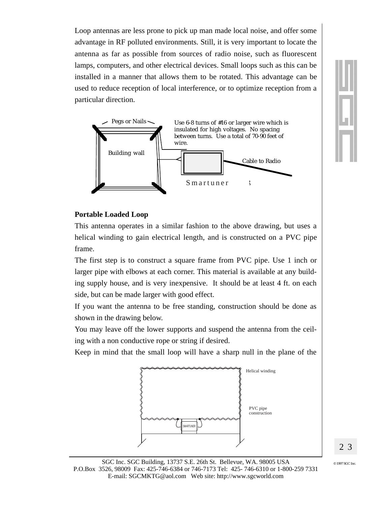Loop antennas are less prone to pick up man made local noise, and offer some advantage in RF polluted environments. Still, it is very important to locate the antenna as far as possible from sources of radio noise, such as fluorescent lamps, computers, and other electrical devices. Small loops such as this can be installed in a manner that allows them to be rotated. This advantage can be used to reduce reception of local interference, or to optimize reception from a particular direction.



#### **Portable Loaded Loop**

This antenna operates in a similar fashion to the above drawing, but uses a helical winding to gain electrical length, and is constructed on a PVC pipe frame.

The first step is to construct a square frame from PVC pipe. Use 1 inch or larger pipe with elbows at each corner. This material is available at any building supply house, and is very inexpensive. It should be at least 4 ft. on each side, but can be made larger with good effect.

If you want the antenna to be free standing, construction should be done as shown in the drawing below.

You may leave off the lower supports and suspend the antenna from the ceiling with a non conductive rope or string if desired.

Keep in mind that the small loop will have a sharp null in the plane of the

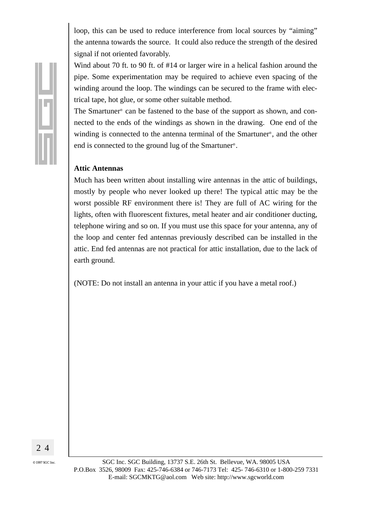loop, this can be used to reduce interference from local sources by "aiming" the antenna towards the source. It could also reduce the strength of the desired signal if not oriented favorably.

Wind about 70 ft. to 90 ft. of #14 or larger wire in a helical fashion around the pipe. Some experimentation may be required to achieve even spacing of the winding around the loop. The windings can be secured to the frame with electrical tape, hot glue, or some other suitable method.

The Smartuner<sup>®</sup> can be fastened to the base of the support as shown, and connected to the ends of the windings as shown in the drawing. One end of the winding is connected to the antenna terminal of the Smartuner<sup>®</sup>, and the other end is connected to the ground lug of the Smartuner<sup>®</sup>.

#### **Attic Antennas**

Much has been written about installing wire antennas in the attic of buildings, mostly by people who never looked up there! The typical attic may be the worst possible RF environment there is! They are full of AC wiring for the lights, often with fluorescent fixtures, metal heater and air conditioner ducting, telephone wiring and so on. If you must use this space for your antenna, any of the loop and center fed antennas previously described can be installed in the attic. End fed antennas are not practical for attic installation, due to the lack of earth ground.

(NOTE: Do not install an antenna in your attic if you have a metal roof.)

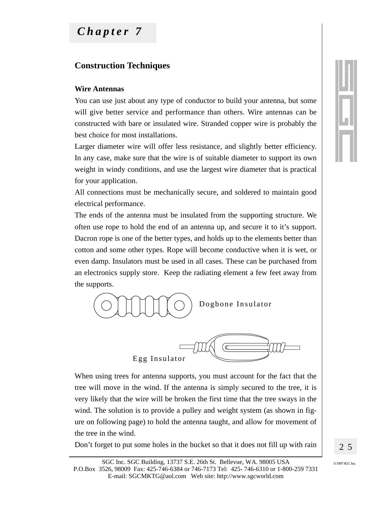## Chapter 7

#### **Construction Techniques**

#### **Wire Antennas**

You can use just about any type of conductor to build your antenna, but some will give better service and performance than others. Wire antennas can be constructed with bare or insulated wire. Stranded copper wire is probably the best choice for most installations.

Larger diameter wire will offer less resistance, and slightly better efficiency. In any case, make sure that the wire is of suitable diameter to support its own weight in windy conditions, and use the largest wire diameter that is practical for your application.

All connections must be mechanically secure, and soldered to maintain good electrical performance.

The ends of the antenna must be insulated from the supporting structure. We often use rope to hold the end of an antenna up, and secure it to it's support. Dacron rope is one of the better types, and holds up to the elements better than cotton and some other types. Rope will become conductive when it is wet, or even damp. Insulators must be used in all cases. These can be purchased from an electronics supply store. Keep the radiating element a few feet away from the supports.



When using trees for antenna supports, you must account for the fact that the tree will move in the wind. If the antenna is simply secured to the tree, it is very likely that the wire will be broken the first time that the tree sways in the

wind. The solution is to provide a pulley and weight system (as shown in figure on following page) to hold the antenna taught, and allow for movement of the tree in the wind.

Don't forget to put some holes in the bucket so that it does not fill up with rain

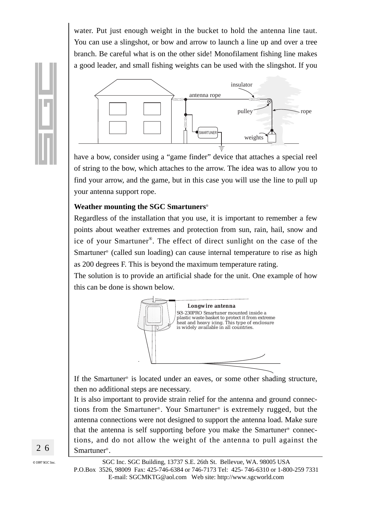water. Put just enough weight in the bucket to hold the antenna line taut. You can use a slingshot, or bow and arrow to launch a line up and over a tree branch. Be careful what is on the other side! Monofilament fishing line makes a good leader, and small fishing weights can be used with the slingshot. If you



have a bow, consider using a "game finder" device that attaches a special reel of string to the bow, which attaches to the arrow. The idea was to allow you to find your arrow, and the game, but in this case you will use the line to pull up your antenna support rope.

#### **Weather mounting the SGC Smartuners**®

Regardless of the installation that you use, it is important to remember a few points about weather extremes and protection from sun, rain, hail, snow and ice of your Smartuner®. The effect of direct sunlight on the case of the Smartuner® (called sun loading) can cause internal temperature to rise as high as 200 degrees F. This is beyond the maximum temperature rating.

The solution is to provide an artificial shade for the unit. One example of how this can be done is shown below.



If the Smartuner® is located under an eaves, or some other shading structure, then no additional steps are necessary.

It is also important to provide strain relief for the antenna and ground connections from the Smartuner® . Your Smartuner® is extremely rugged, but the antenna connections were not designed to support the antenna load. Make sure that the antenna is self supporting before you make the Smartuner® connections, and do not allow the weight of the antenna to pull against the Smartuner®.

?@@@@@@@@@@@@@@@@@@@@@@@@@@@@@@@@@@@@@@@@@@@@@@@@@@@@@@@@@@@@@@@@@@@@@@@@@@@@@@@@@@@@@@@@@@@@@@@@@@@@@@@@@@@@@@@@@@@@@@@@@@@@@@@@@@@@@@@@@@@@@@@@@@@@@@@@@@@@@@@@?g ?@@@@@@@@@@@@@@@@@@@@@@@@@@@@@@@@@@@@@@@@@@@@@@@@@@@@@@@@@@@@@@@@@@@@@@@@@@@@@@@@@@@@@@@@@@@@@@@@@@@@@@@@@@@@@@@@@@@@@@@@@@@@@@@@@@@@@@@@@@@@@@@@@@@@@@@@@@@@@@@@?g ?@@@@@@@@@@@@@@@@@@@@@@@@@@@@@@@@@@@@@@@@@@@@@@@@@@@@@@@@@@@@@@@@@@@@@@@@@@@@@@@@@@@@@@@@@@@@@@@@@@@@@@@@@@@@@@@@@@@@@@@@@@@@@@@@@@@@@@@@@@@@@@@@@@@@@@@@@@@@@@@@?g ?@@@@@@@@@@@@@@@@@@@@@@@@@@@@@@@@@@@@@@@@@@@@@@@@@@@@@@@@@@@@@@@@@@@@@@@@@@@@@@@@@@@@@@@@@@@@@@@@@@@@@@@@@@@@@@@@@@@@@@@@@@@@@@@@@@@@@@@@@@@@@@@@@@@@@@@@@@@@@@@@?g ?@@@@@@@@@@@@@@@@@@@@@@@@@@@@@@@@@@@@@@@@@@@@@@@@@@@@@@@@@@@@@@@@@@@@@@@@@@@@@@@@@@@@@@@@@@@@@@@@@@@@@@@@@@@@@@@@@@@@@@@@@@@@@@@@@@@@@@@@@@@@@@@@@@@@@@@@@@@@@@@@?g ?@@@@@@@@@@@@@@@@@@@@@@@@@@@@@@@@@@@@@@@@@@@@@@@@@g@@@@@@@@@@@@@@@@@@@@@@@@@@@@@@@@@@@@@@@@@@@@@@@@g?@@@@@@@@@@@@@@@@@@@@@@@@@@@@@@@@@@@@@@@@@@@@@@@@@@?g ?@@@@@@@@@@@@@@@@@@@@@@@@@@@@@@@@@@@@@@@@@@@@@@@@@g@@@@@@@@@@@@@@@@@@@@@@@@@@@@@@@@@@@@@@@@@@@@@@@@g?@@@@@@@@@@@@@@@@@@@@@@@@@@@@@@@@@@@@@@@@@@@@@@@@@@?g ?@@@@@@@@@@@@@@@@@@@@@@@@@@@@@@@@@@@@@@@@@@@@@@@@@g@@@@@@@@@@@@@@@@@@@@@@@@@@@@@@@@@@@@@@@@@@@@@@@@g?@@@@@@@@@@@@@@@@@@@@@@@@@@@@@@@@@@@@@@@@@@@@@@@@@@?g ?@@@@@@@@@@@@@@@@@@@@@@@@@@@@@@@@@@@@@@@@@@@@@@@@@g@@@@@@@@@@@@@@@@@@@@@@@@@@@@@@@@@@@@@@@@@@@@@@@@g?@@@@@@@@@@@@@@@@@@@@@@@@@@@@@@@@@@@@@@@@@@@@@@@@@@?g ?@@@@@@@@@@@@@@@@@@@@@@@@@@@@@@@@@@@@@@@@@@@@@@@@@g@@@@@@@@@@@@@@@@@@@@@@@@@@@@@@@@@@@@@@@@@@@@@@@@g?@@@@@@@@@@@@@@@@@@@@@@@@@@@@@@@@@@@@@@@@@@@@@@@@@@?g ?@@@@@@@ @@@@@@ ?@@@@@@@ ?@@@@@@@ @@@@@@ ?@@@@@@@ ?@@@@@@@ @@@@@@ ?@@@@@@@ ?@@@@@@@@@@@@@@@@@@@@@@@@@@@@@@@@@@@@@@@@@@@@@@@@@g@@@@@@ @@@@@@@@@@@@g?@@@@@@@ ?@@@@@@@@@@@@@@@@@@@@@@@@@@@@@@@@@@@@@@@@@@@@@@@@@g@@@@@@ @@@@@@@@@@@@g?@@@@@@@ ?@@@@@@@@@@@@@@@@@@@@@@@@@@@@@@@@@@@@@@@@@@@@@@@@@g@@@@@@ @@@@@@@@@@@@g?@@@@@@@ ?@@@@@@@@@@@@@@@@@@@@@@@@@@@@@@@@@@@@@@@@@@@@@@@@@g@@@@@@ @@@@@@@@@@@@g?@@@@@@@ ?@@@@@@@@@@@@@@@@@@@@@@@@@@@@@@@@@@@@@@@@@@@@@@@@@g@@@@@@ @@@@@@@@@@@@g?@@@@@@@ ?@@@@@@@g@@@@@@ @@@@@@g?@@@@@@@ ?@@@@@@@g@@@@@@ @@@@@@g?@@@@@@@ ?@@@@@@@g@@@@@@ @@@@@@g?@@@@@@@ ?@@@@@@@g@@@@@@ @@@@@@g?@@@@@@@ ?@@@@@@@@@@@@@@@@@@@@@@@@@@@@@@@@@@@@@@@@@@@@@@@@@g@@@@@@@@@@@@@@@@@@@@@@@@@@@@@@@@@@@@@@@@@@@@@@@@g?@@@@@@@@@@@@@@@@@@@@@@@@@@@@@@@@@@@@@@@@@@@@@@@@@@?g ?@@@@@@@@@@@@@@@@@@@@@@@@@@@@@@@@@@@@@@@@@@@@@@@@@g@@@@@@@@@@@@@@@@@@@@@@@@@@@@@@@@@@@@@@@@@@@@@@@@g?@@@@@@@@@@@@@@@@@@@@@@@@@@@@@@@@@@@@@@@@@@@@@@@@@@?g ?@@@@@@@@@@@@@@@@@@@@@@@@@@@@@@@@@@@@@@@@@@@@@@@@@g@@@@@@@@@@@@@@@@@@@@@@@@@@@@@@@@@@@@@@@@@@@@@@@@g?@@@@@@@@@@@@@@@@@@@@@@@@@@@@@@@@@@@@@@@@@@@@@@@@@@?g ?@@@@@@@@@@@@@@@@@@@@@@@@@@@@@@@@@@@@@@@@@@@@@@@@@g@@@@@@@@@@@@@@@@@@@@@@@@@@@@@@@@@@@@@@@@@@@@@@@@g?@@@@@@@@@@@@@@@@@@@@@@@@@@@@@@@@@@@@@@@@@@@@@@@@@@?g ?@@@@@@@@@@@@@@@@@@@@@@@@@@@@@@@@@@@@@@@@@@@@@@@@@g@@@@@@@@@@@@@@@@@@@@@@@@@@@@@@@@@@@@@@@@@@@@@@@@g?@@@@@@@@@@@@@@@@@@@@@@@@@@@@@@@@@@@@@@@@@@@@@@@@@@?g ?@@@@@@@@@@@@@@@@@@@@@@@@@@@@@@@@@@@@@@@@@@@@@@@@@@@@@@@@@@@@@@@@@@@@@@@@@@@@@@@@@@@@@@@@@@@@@@@@@@@@@@@@@@@@@@@@@@@@@@@@@@@@@@@@@@@@@@@@@@@@@@@@@@@@@@@@@@@@@@@@?g ?@@@@@@@@@@@@@@@@@@@@@@@@@@@@@@@@@@@@@@@@@@@@@@@@@@@@@@@@@@@@@@@@@@@@@@@@@@@@@@@@@@@@@@@@@@@@@@@@@@@@@@@@@@@@@@@@@@@@@@@@@@@@@@@@@@@@@@@@@@@@@@@@@@@@@@@@@@@@@@@@?g ?@@@@@@@@@@@@@@@@@@@@@@@@@@@@@@@@@@@@@@@@@@@@@@@@@@@@@@@@@@@@@@@@@@@@@@@@@@@@@@@@@@@@@@@@@@@@@@@@@@@@@@@@@@@@@@@@@@@@@@@@@@@@@@@@@@@@@@@@@@@@@@@@@@@@@@@@@@@@@@@@?g ?@@@@@@@@@@@@@@@@@@@@@@@@@@@@@@@@@@@@@@@@@@@@@@@@@@@@@@@@@@@@@@@@@@@@@@@@@@@@@@@@@@@@@@@@@@@@@@@@@@@@@@@@@@@@@@@@@@@@@@@@@@@@@@@@@@@@@@@@@@@@@@@@@@@@@@@@@@@@@@@@?g ?@@@@@@@@@@@@@@@@@@@@@@@@@@@@@@@@@@@@@@@@@@@@@@@@@@@@@@@@@@@@@@@@@@@@@@@@@@@@@@@@@@@@@@@@@@@@@@@@@@@@@@@@@@@@@@@@@@@@@@@@@@@@@@@@@@@@@@@@@@@@@@@@@@@@@@@@@@@@@@@@?g

2 6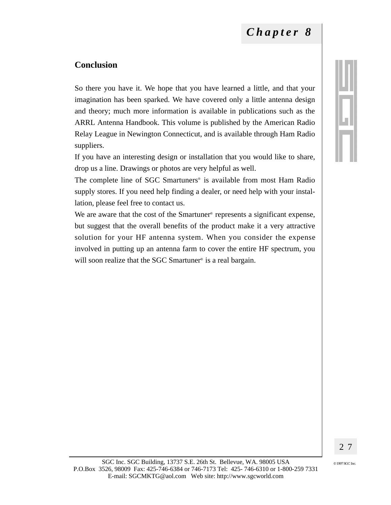#### **Conclusion**

So there you have it. We hope that you have learned a little, and that your imagination has been sparked. We have covered only a little antenna design and theory; much more information is available in publications such as the ARRL Antenna Handbook. This volume is published by the American Radio Relay League in Newington Connecticut, and is available through Ham Radio suppliers.

If you have an interesting design or installation that you would like to share, drop us a line. Drawings or photos are very helpful as well.

The complete line of SGC Smartuners<sup>®</sup> is available from most Ham Radio supply stores. If you need help finding a dealer, or need help with your installation, please feel free to contact us.

We are aware that the cost of the Smartuner<sup>®</sup> represents a significant expense, but suggest that the overall benefits of the product make it a very attractive solution for your HF antenna system. When you consider the expense involved in putting up an antenna farm to cover the entire HF spectrum, you will soon realize that the SGC Smartuner<sup>®</sup> is a real bargain.

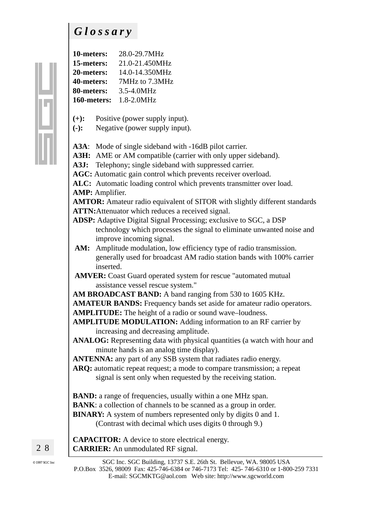## *Glossary*

| 10-meters:  | 28.0-29.7MHz   |
|-------------|----------------|
| 15-meters:  | 21.0-21.450MHz |
| 20-meters:  | 14.0-14.350MHz |
| 40-meters:  | 7MHz to 7.3MHz |
| 80-meters:  | 3.5-4.0MHz     |
| 160-meters: | 1.8-2.0MHz     |

- **(+):** Positive (power supply input).
- **(-):** Negative (power supply input).

**A3A**: Mode of single sideband with -16dB pilot carrier.

- A3H: AME or AM compatible (carrier with only upper sideband).
- **A3J:** Telephony; single sideband with suppressed carrier.

**AGC:** Automatic gain control which prevents receiver overload.

**ALC:** Automatic loading control which prevents transmitter over load. **AMP:** Amplifier.

**AMTOR:** Amateur radio equivalent of SITOR with slightly different standards

**ATTN:**Attenuator which reduces a received signal.

- **ADSP:** Adaptive Digital Signal Processing; exclusive to SGC, a DSP technology which processes the signal to eliminate unwanted noise and improve incoming signal.
- AM: Amplitude modulation, low efficiency type of radio transmission. generally used for broadcast AM radio station bands with 100% carrier inserted.
- **AMVER:** Coast Guard operated system for rescue "automated mutual assistance vessel rescue system."

**AM BROADCAST BAND:** A band ranging from 530 to 1605 KHz.

**AMATEUR BANDS:** Frequency bands set aside for amateur radio operators.

- **AMPLITUDE:** The height of a radio or sound wave–loudness.
- **AMPLITUDE MODULATION:** Adding information to an RF carrier by increasing and decreasing amplitude.

**ANALOG:** Representing data with physical quantities (a watch with hour and minute hands is an analog time display).

**ANTENNA:** any part of any SSB system that radiates radio energy.

**ARQ:** automatic repeat request; a mode to compare transmission; a repeat signal is sent only when requested by the receiving station.

**BAND:** a range of frequencies, usually within a one MHz span. **BANK**: a collection of channels to be scanned as a group in order. **BINARY:** A system of numbers represented only by digits 0 and 1. (Contrast with decimal which uses digits 0 through 9.)

**CAPACITOR:** A device to store electrical energy. **CARRIER:** An unmodulated RF signal.

© 1997 SGC Inc

2 8

?@@@@@@@@@@@@@@@@@@@@@@@@@@@@@@@@@@@@@@@@@@@@@@@@@@@@@@@@@@@@@@@@@@@@@@@@@@@@@@@@@@@@@@@@@@@@@@@@@@@@@@@@@@@@@@@@@@@@@@@@@@@@@@@@@@@@@@@@@@@@@@@@@@@@@@@@@@@@@@@@?g ?@@@@@@@@@@@@@@@@@@@@@@@@@@@@@@@@@@@@@@@@@@@@@@@@@@@@@@@@@@@@@@@@@@@@@@@@@@@@@@@@@@@@@@@@@@@@@@@@@@@@@@@@@@@@@@@@@@@@@@@@@@@@@@@@@@@@@@@@@@@@@@@@@@@@@@@@@@@@@@@@?g ?@@@@@@@@@@@@@@@@@@@@@@@@@@@@@@@@@@@@@@@@@@@@@@@@@@@@@@@@@@@@@@@@@@@@@@@@@@@@@@@@@@@@@@@@@@@@@@@@@@@@@@@@@@@@@@@@@@@@@@@@@@@@@@@@@@@@@@@@@@@@@@@@@@@@@@@@@@@@@@@@?g ?@@@@@@@@@@@@@@@@@@@@@@@@@@@@@@@@@@@@@@@@@@@@@@@@@@@@@@@@@@@@@@@@@@@@@@@@@@@@@@@@@@@@@@@@@@@@@@@@@@@@@@@@@@@@@@@@@@@@@@@@@@@@@@@@@@@@@@@@@@@@@@@@@@@@@@@@@@@@@@@@?g ?@@@@@@@@@@@@@@@@@@@@@@@@@@@@@@@@@@@@@@@@@@@@@@@@@@@@@@@@@@@@@@@@@@@@@@@@@@@@@@@@@@@@@@@@@@@@@@@@@@@@@@@@@@@@@@@@@@@@@@@@@@@@@@@@@@@@@@@@@@@@@@@@@@@@@@@@@@@@@@@@?g ?@@@@@@@@@@@@@@@@@@@@@@@@@@@@@@@@@@@@@@@@@@@@@@@@@g@@@@@@@@@@@@@@@@@@@@@@@@@@@@@@@@@@@@@@@@@@@@@@@@g?@@@@@@@@@@@@@@@@@@@@@@@@@@@@@@@@@@@@@@@@@@@@@@@@@@?g ?@@@@@@@@@@@@@@@@@@@@@@@@@@@@@@@@@@@@@@@@@@@@@@@@@g@@@@@@@@@@@@@@@@@@@@@@@@@@@@@@@@@@@@@@@@@@@@@@@@g?@@@@@@@@@@@@@@@@@@@@@@@@@@@@@@@@@@@@@@@@@@@@@@@@@@?g ?@@@@@@@@@@@@@@@@@@@@@@@@@@@@@@@@@@@@@@@@@@@@@@@@@g@@@@@@@@@@@@@@@@@@@@@@@@@@@@@@@@@@@@@@@@@@@@@@@@g?@@@@@@@@@@@@@@@@@@@@@@@@@@@@@@@@@@@@@@@@@@@@@@@@@@?g ?@@@@@@@@@@@@@@@@@@@@@@@@@@@@@@@@@@@@@@@@@@@@@@@@@g@@@@@@@@@@@@@@@@@@@@@@@@@@@@@@@@@@@@@@@@@@@@@@@@g?@@@@@@@@@@@@@@@@@@@@@@@@@@@@@@@@@@@@@@@@@@@@@@@@@@?g ?@@@@@@@@@@@@@@@@@@@@@@@@@@@@@@@@@@@@@@@@@@@@@@@@@g@@@@@@@@@@@@@@@@@@@@@@@@@@@@@@@@@@@@@@@@@@@@@@@@g?@@@@@@@@@@@@@@@@@@@@@@@@@@@@@@@@@@@@@@@@@@@@@@@@@@?g

?@@@@@@@ @@@@@@ ?@@@@@@@ ?@@@@@@@ @@@@@@ ?@@@@@@@ ?@@@@@@@ @@@@@@ ?@@@@@@@ ?@@@@@@@@@@@@@@@@@@@@@@@@@@@@@@@@@@@@@@@@@@@@@@@@@g@@@@@@ @@@@@@@@@@@@g?@@@@@@@ ?@@@@@@@@@@@@@@@@@@@@@@@@@@@@@@@@@@@@@@@@@@@@@@@@@g@@@@@@ @@@@@@@@@@@@g?@@@@@@@ ?@@@@@@@@@@@@@@@@@@@@@@@@@@@@@@@@@@@@@@@@@@@@@@@@@g@@@@@@ @@@@@@@@@@@@g?@@@@@@@ ?@@@@@@@@@@@@@@@@@@@@@@@@@@@@@@@@@@@@@@@@@@@@@@@@@g@@@@@@ @@@@@@@@@@@@g?@@@@@@@ ?@@@@@@@@@@@@@@@@@@@@@@@@@@@@@@@@@@@@@@@@@@@@@@@@@g@@@@@@ @@@@@@@@@@@@g?@@@@@@@

?@@@@@@@g@@@@@@ @@@@@@g?@@@@@@@ ?@@@@@@@g@@@@@@ @@@@@@g?@@@@@@@ ?@@@@@@@g@@@@@@ @@@@@@g?@@@@@@@ ?@@@@@@@g@@@@@@ @@@@@@g?@@@@@@@ ?@@@@@@@@@@@@@@@@@@@@@@@@@@@@@@@@@@@@@@@@@@@@@@@@@g@@@@@@@@@@@@@@@@@@@@@@@@@@@@@@@@@@@@@@@@@@@@@@@@g?@@@@@@@@@@@@@@@@@@@@@@@@@@@@@@@@@@@@@@@@@@@@@@@@@@?g ?@@@@@@@@@@@@@@@@@@@@@@@@@@@@@@@@@@@@@@@@@@@@@@@@@g@@@@@@@@@@@@@@@@@@@@@@@@@@@@@@@@@@@@@@@@@@@@@@@@g?@@@@@@@@@@@@@@@@@@@@@@@@@@@@@@@@@@@@@@@@@@@@@@@@@@?g ?@@@@@@@@@@@@@@@@@@@@@@@@@@@@@@@@@@@@@@@@@@@@@@@@@g@@@@@@@@@@@@@@@@@@@@@@@@@@@@@@@@@@@@@@@@@@@@@@@@g?@@@@@@@@@@@@@@@@@@@@@@@@@@@@@@@@@@@@@@@@@@@@@@@@@@?g ?@@@@@@@@@@@@@@@@@@@@@@@@@@@@@@@@@@@@@@@@@@@@@@@@@g@@@@@@@@@@@@@@@@@@@@@@@@@@@@@@@@@@@@@@@@@@@@@@@@g?@@@@@@@@@@@@@@@@@@@@@@@@@@@@@@@@@@@@@@@@@@@@@@@@@@?g ?@@@@@@@@@@@@@@@@@@@@@@@@@@@@@@@@@@@@@@@@@@@@@@@@@g@@@@@@@@@@@@@@@@@@@@@@@@@@@@@@@@@@@@@@@@@@@@@@@@g?@@@@@@@@@@@@@@@@@@@@@@@@@@@@@@@@@@@@@@@@@@@@@@@@@@?g ?@@@@@@@@@@@@@@@@@@@@@@@@@@@@@@@@@@@@@@@@@@@@@@@@@@@@@@@@@@@@@@@@@@@@@@@@@@@@@@@@@@@@@@@@@@@@@@@@@@@@@@@@@@@@@@@@@@@@@@@@@@@@@@@@@@@@@@@@@@@@@@@@@@@@@@@@@@@@@@@@?g ?@@@@@@@@@@@@@@@@@@@@@@@@@@@@@@@@@@@@@@@@@@@@@@@@@@@@@@@@@@@@@@@@@@@@@@@@@@@@@@@@@@@@@@@@@@@@@@@@@@@@@@@@@@@@@@@@@@@@@@@@@@@@@@@@@@@@@@@@@@@@@@@@@@@@@@@@@@@@@@@@?g ?@@@@@@@@@@@@@@@@@@@@@@@@@@@@@@@@@@@@@@@@@@@@@@@@@@@@@@@@@@@@@@@@@@@@@@@@@@@@@@@@@@@@@@@@@@@@@@@@@@@@@@@@@@@@@@@@@@@@@@@@@@@@@@@@@@@@@@@@@@@@@@@@@@@@@@@@@@@@@@@@?g ?@@@@@@@@@@@@@@@@@@@@@@@@@@@@@@@@@@@@@@@@@@@@@@@@@@@@@@@@@@@@@@@@@@@@@@@@@@@@@@@@@@@@@@@@@@@@@@@@@@@@@@@@@@@@@@@@@@@@@@@@@@@@@@@@@@@@@@@@@@@@@@@@@@@@@@@@@@@@@@@@?g ?@@@@@@@@@@@@@@@@@@@@@@@@@@@@@@@@@@@@@@@@@@@@@@@@@@@@@@@@@@@@@@@@@@@@@@@@@@@@@@@@@@@@@@@@@@@@@@@@@@@@@@@@@@@@@@@@@@@@@@@@@@@@@@@@@@@@@@@@@@@@@@@@@@@@@@@@@@@@@@@@?g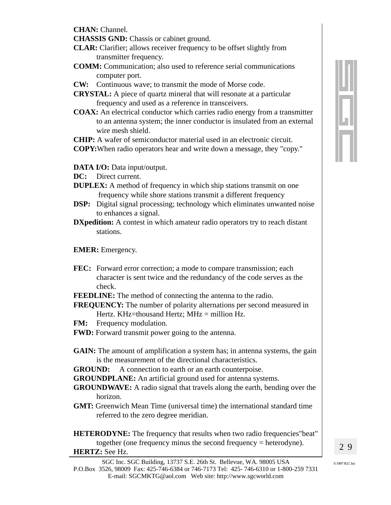**CHAN:** Channel.

**CHASSIS GND:** Chassis or cabinet ground.

- **CLAR:** Clarifier; allows receiver frequency to be offset slightly from transmitter frequency.
- **COMM:** Communication; also used to reference serial communications computer port.
- **CW:** Continuous wave; to transmit the mode of Morse code.
- **CRYSTAL:** A piece of quartz mineral that will resonate at a particular frequency and used as a reference in transceivers.
- **COAX:** An electrical conductor which carries radio energy from a transmitter to an antenna system; the inner conductor is insulated from an external wire mesh shield.

**CHIP:** A wafer of semiconductor material used in an electronic circuit.

- **COPY:**When radio operators hear and write down a message, they "copy."
- **DATA I/O:** Data input/output.
- **DC:** Direct current.
- **DUPLEX:** A method of frequency in which ship stations transmit on one frequency while shore stations transmit a different frequency
- **DSP:** Digital signal processing; technology which eliminates unwanted noise to enhances a signal.
- **DXpedition:** A contest in which amateur radio operators try to reach distant stations.

#### **EMER:** Emergency.

- FEC: Forward error correction; a mode to compare transmission; each character is sent twice and the redundancy of the code serves as the check.
- **FEEDLINE:** The method of connecting the antenna to the radio.

**FREQUENCY:** The number of polarity alternations per second measured in Hertz. KHz=thousand Hertz; MHz = million Hz.

- **FM:** Frequency modulation.
- **FWD:** Forward transmit power going to the antenna.
- **GAIN:** The amount of amplification a system has; in antenna systems, the gain is the measurement of the directional characteristics.

**GROUND:** A connection to earth or an earth counterpoise.

**GROUNDPLANE:** An artificial ground used for antenna systems.

- **GROUNDWAVE:** A radio signal that travels along the earth, bending over the horizon.
- **GMT:** Greenwich Mean Time (universal time) the international standard time referred to the zero degree meridian.

**HETERODYNE:** The frequency that results when two radio frequencies "beat" together (one frequency minus the second frequency = heterodyne).

#### **HERTZ:** See Hz.

?@@@@@@@@@@@@@@@@@@@@@@@@@@@@@@@@@@@@@@@@@@@@@@@@@g@@@@@@@@@@@@@@@@@@@@@@@@@@@@@@@@@@@@@@@@@@@@@@@@g?@@@@@@@@@@@@@@@@@@@@@@@@@@@@@@@@@@@@@@@@@@@@@@@@@@?g?? ,我们的时候,我们的时候,我们的时候,我们的时候,我们的时候,我们的时候,我们的时候,我们的时候,我们的时候,我们的时候,我们的时候,我们的时候,我们的时候,我 ?@@@@@@@@@@@@@@@@@@@@@@@@@@@@@@@@@@@@@@@@@@@@@@@@@@@@@@@@@@@@@@@@@@@@@@@@@@@@@@@@@@@@@@@@@@@@@@@@@@@@@@@@@@@@@@@@@@@@@@@@@@@@@@@@@@@@@@@@@@@@@@@@@@@@@@@@@@@@@@@@?g??@@@@@@@@@@@@@@@@@@@@@@@@@@@@@@@@@@@@@@@@@@@@@@@@@@@@@@@@@@@@@@@@@@@@@@@@@@@@@@@@@@@@@@@@@@@@@@@@@@@@@@@@@@@@@@@@@@@@@@@@@@@@@@@@@@@@@@@@@@@@@@@@@@@@@@@@@@@@@@@@?g? ?@@@@@@@@@@@@@@@@@@@@@@@@@@@@@@@@@@@@@@@@@@@@@@@@@@@@@@@@@@@@@@@@@@@@@@@@@@@@@@@@@@@@@@@@@@@@@@@@@@@@@@@@@@@@@@@@@@@@@@@@@@@@@@@@@@@@@@@@@@@@@@@@@@@@@@@@@@@@@@@@?g??

?@@@@@@@

SGC Inc. SGC Building, 13737 S.E. 26th St. Bellevue, WA. 98005 USA  $\bullet$   $\bullet$  1997 SGC Inc. P.O.Box 3526, 98009 Fax: 425-746-6384 or 746-7173 Tel: 425- 746-6310 or 1-800-259 7331 E-mail: SGCMKTG@aol.com Web site: http://www.sgcworld.com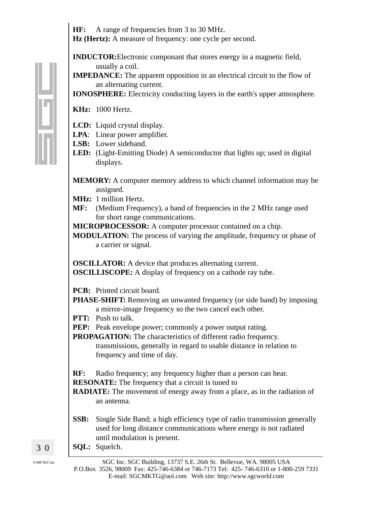**HF:** A range of frequencies from 3 to 30 MHz. **Hz (Hertz):** A measure of frequency: one cycle per second.

**INDUCTOR:**Electronic componant that stores energy in a magnetic field, usually a coil.

**IMPEDANCE:** The apparent opposition in an electrical circuit to the flow of an alternating current.

**IONOSPHERE:** Electricity conducting layers in the earth's upper atmosphere.

#### **KHz:** 1000 Hertz.

- **LCD:** Liquid crystal display.
- **LPA**: Linear power amplifier.
- **LSB:** Lower sideband.
- **LED:** (Light-Emitting Diode) A semiconductor that lights up; used in digital displays.
- **MEMORY:** A computer memory address to which channel information may be assigned.
- **MHz:** 1 million Hertz.
- **MF:** (Medium Frequency), a band of frequencies in the 2 MHz range used for short range communications.
- **MICROPROCESSOR:** A computer processor contained on a chip.
- **MODULATION:** The process of varying the amplitude, frequency or phase of a carrier or signal.

**OSCILLATOR:** A device that produces alternating current. **OSCILLISCOPE:** A display of frequency on a cathode ray tube.

**PCB:** Printed circuit board.

- **PHASE-SHIFT:** Removing an unwanted frequency (or side band) by imposing a mirror-image frequency so the two cancel each other.
- **PTT:** Push to talk.
- **PEP:** Peak envelope power; commonly a power output rating.

**PROPAGATION:** The characteristics of different radio frequency. transmissions, generally in regard to usable distance in relation to frequency and time of day.

**RF:** Radio frequency; any frequency higher than a person can hear.

**RESONATE:** The frequency that a circuit is tuned to

**RADIATE:** The movement of energy away from a place, as in the radiation of an antenna.

- **SSB:** Single Side Band; a high efficiency type of radio transmission generally used for long distance communications where energy is not radiated until modulation is present.
- **SQL:** Squelch.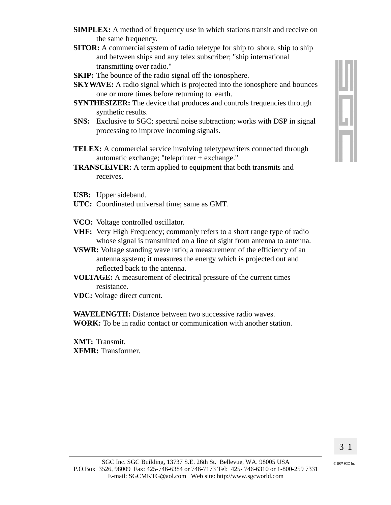- **SIMPLEX:** A method of frequency use in which stations transit and receive on the same frequency.
- **SITOR:** A commercial system of radio teletype for ship to shore, ship to ship and between ships and any telex subscriber; "ship international transmitting over radio."
- **SKIP:** The bounce of the radio signal off the ionosphere.
- **SKYWAVE:** A radio signal which is projected into the ionosphere and bounces one or more times before returning to earth.
- **SYNTHESIZER:** The device that produces and controls frequencies through synthetic results.
- **SNS:** Exclusive to SGC; spectral noise subtraction; works with DSP in signal processing to improve incoming signals.
- **TELEX:** A commercial service involving teletypewriters connected through automatic exchange; "teleprinter  $+$  exchange."
- **TRANSCEIVER:** A term applied to equipment that both transmits and receives.
- **USB:** Upper sideband.
- UTC: Coordinated universal time; same as GMT.
- VCO: Voltage controlled oscillator.
- VHF: Very High Frequency; commonly refers to a short range type of radio whose signal is transmitted on a line of sight from antenna to antenna.
- **VSWR:** Voltage standing wave ratio; a measurement of the efficiency of an antenna system; it measures the energy which is projected out and reflected back to the antenna.
- **VOLTAGE:** A measurement of electrical pressure of the current times resistance.
- **VDC:** Voltage direct current.

**WAVELENGTH:** Distance between two successive radio waves. **WORK:** To be in radio contact or communication with another station.

XMT: Transmit. **XFMR:** Transformer.